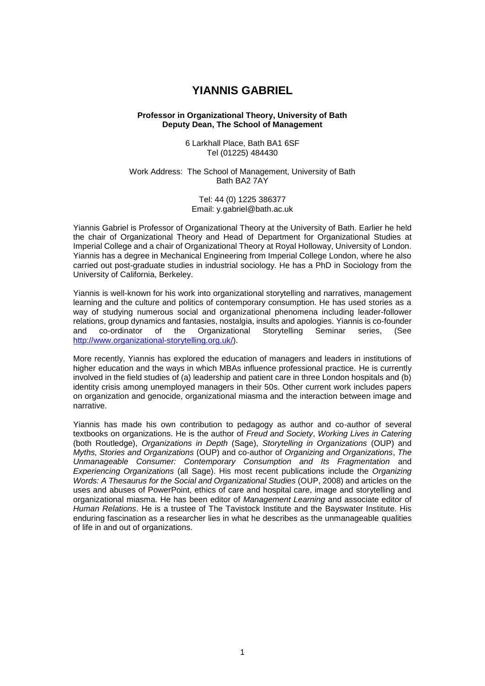# **YIANNIS GABRIEL**

### **Professor in Organizational Theory, University of Bath Deputy Dean, The School of Management**

6 Larkhall Place, Bath BA1 6SF Tel (01225) 484430

Work Address: The School of Management, University of Bath Bath BA2 7AY

> Tel: 44 (0) 1225 386377 Email: y.gabriel@bath.ac.uk

Yiannis Gabriel is Professor of Organizational Theory at the University of Bath. Earlier he held the chair of Organizational Theory and Head of Department for Organizational Studies at Imperial College and a chair of Organizational Theory at Royal Holloway, University of London. Yiannis has a degree in Mechanical Engineering from Imperial College London, where he also carried out post-graduate studies in industrial sociology. He has a PhD in Sociology from the University of California, Berkeley.

Yiannis is well-known for his work into organizational storytelling and narratives, management learning and the culture and politics of contemporary consumption. He has used stories as a way of studying numerous social and organizational phenomena including leader-follower relations, group dynamics and fantasies, nostalgia, insults and apologies. Yiannis is co-founder and co-ordinator of the Organizational Storytelling Seminar series, (See [http://www.organizational-storytelling.org.uk/\)](http://www.organizational-storytelling.org.uk/).

More recently, Yiannis has explored the education of managers and leaders in institutions of higher education and the ways in which MBAs influence professional practice. He is currently involved in the field studies of (a) leadership and patient care in three London hospitals and (b) identity crisis among unemployed managers in their 50s. Other current work includes papers on organization and genocide, organizational miasma and the interaction between image and narrative.

Yiannis has made his own contribution to pedagogy as author and co-author of several textbooks on organizations. He is the author of *Freud and Society*, *Working Lives in Catering* (both Routledge), *Organizations in Depth* (Sage), *Storytelling in Organizations* (OUP) and *Myths, Stories and Organizations* (OUP) and co-author of *Organizing and Organizations*, *The Unmanageable Consumer: Contemporary Consumption and Its Fragmentation* and *Experiencing Organizations* (all Sage). His most recent publications include the *Organizing Words: A Thesaurus for the Social and Organizational Studies* (OUP, 2008) and articles on the uses and abuses of PowerPoint, ethics of care and hospital care, image and storytelling and organizational miasma. He has been editor of *Management Learning* and associate editor of *Human Relations*. He is a trustee of The Tavistock Institute and the Bayswater Institute. His enduring fascination as a researcher lies in what he describes as the unmanageable qualities of life in and out of organizations.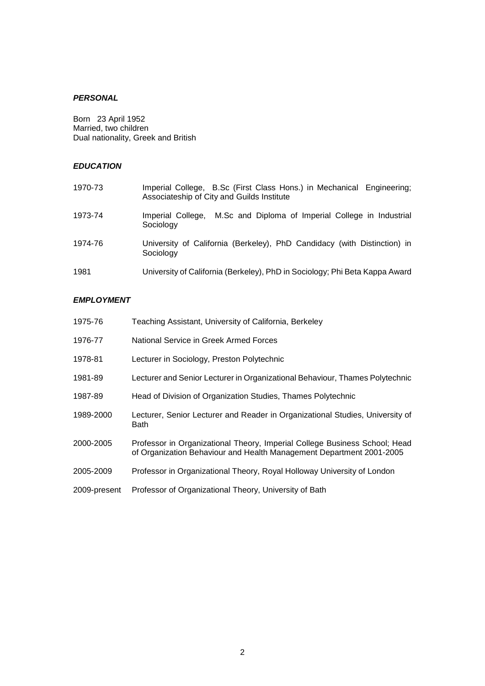# *PERSONAL*

Born 23 April 1952 Married, two children Dual nationality, Greek and British

# *EDUCATION*

| 1970-73 | Imperial College, B.Sc (First Class Hons.) in Mechanical Engineering;<br>Associateship of City and Guilds Institute |
|---------|---------------------------------------------------------------------------------------------------------------------|
| 1973-74 | Imperial College, M.Sc and Diploma of Imperial College in Industrial<br>Sociology                                   |
| 1974-76 | University of California (Berkeley), PhD Candidacy (with Distinction) in<br>Sociology                               |
| 1981    | University of California (Berkeley), PhD in Sociology; Phi Beta Kappa Award                                         |

## *EMPLOYMENT*

| 1975-76      | Teaching Assistant, University of California, Berkeley                                                                                             |
|--------------|----------------------------------------------------------------------------------------------------------------------------------------------------|
| 1976-77      | National Service in Greek Armed Forces                                                                                                             |
| 1978-81      | Lecturer in Sociology, Preston Polytechnic                                                                                                         |
| 1981-89      | Lecturer and Senior Lecturer in Organizational Behaviour, Thames Polytechnic                                                                       |
| 1987-89      | Head of Division of Organization Studies, Thames Polytechnic                                                                                       |
| 1989-2000    | Lecturer, Senior Lecturer and Reader in Organizational Studies, University of<br>Bath                                                              |
| 2000-2005    | Professor in Organizational Theory, Imperial College Business School; Head<br>of Organization Behaviour and Health Management Department 2001-2005 |
| 2005-2009    | Professor in Organizational Theory, Royal Holloway University of London                                                                            |
| 2009-present | Professor of Organizational Theory, University of Bath                                                                                             |
|              |                                                                                                                                                    |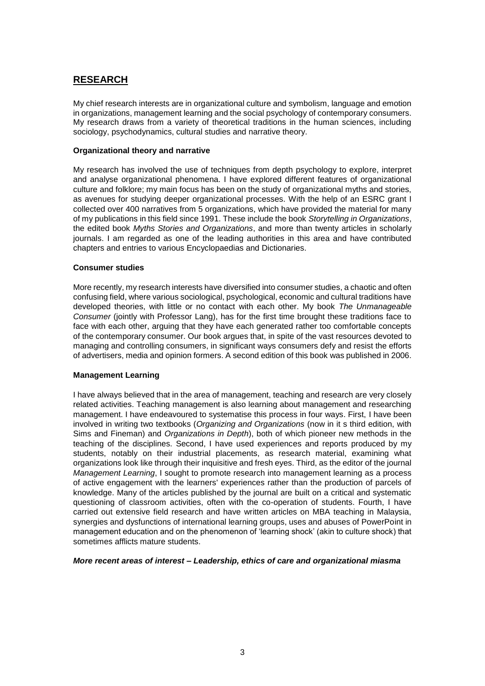# **RESEARCH**

My chief research interests are in organizational culture and symbolism, language and emotion in organizations, management learning and the social psychology of contemporary consumers. My research draws from a variety of theoretical traditions in the human sciences, including sociology, psychodynamics, cultural studies and narrative theory.

## **Organizational theory and narrative**

My research has involved the use of techniques from depth psychology to explore, interpret and analyse organizational phenomena. I have explored different features of organizational culture and folklore; my main focus has been on the study of organizational myths and stories, as avenues for studying deeper organizational processes. With the help of an ESRC grant I collected over 400 narratives from 5 organizations, which have provided the material for many of my publications in this field since 1991. These include the book *Storytelling in Organizations*, the edited book *Myths Stories and Organizations*, and more than twenty articles in scholarly journals. I am regarded as one of the leading authorities in this area and have contributed chapters and entries to various Encyclopaedias and Dictionaries.

## **Consumer studies**

More recently, my research interests have diversified into consumer studies, a chaotic and often confusing field, where various sociological, psychological, economic and cultural traditions have developed theories, with little or no contact with each other. My book *The Unmanageable Consumer* (jointly with Professor Lang), has for the first time brought these traditions face to face with each other, arguing that they have each generated rather too comfortable concepts of the contemporary consumer. Our book argues that, in spite of the vast resources devoted to managing and controlling consumers, in significant ways consumers defy and resist the efforts of advertisers, media and opinion formers. A second edition of this book was published in 2006.

## **Management Learning**

I have always believed that in the area of management, teaching and research are very closely related activities. Teaching management is also learning about management and researching management. I have endeavoured to systematise this process in four ways. First, I have been involved in writing two textbooks (*Organizing and Organizations* (now in it s third edition, with Sims and Fineman) and *Organizations in Depth*), both of which pioneer new methods in the teaching of the disciplines. Second, I have used experiences and reports produced by my students, notably on their industrial placements, as research material, examining what organizations look like through their inquisitive and fresh eyes. Third, as the editor of the journal *Management Learning*, I sought to promote research into management learning as a process of active engagement with the learners' experiences rather than the production of parcels of knowledge. Many of the articles published by the journal are built on a critical and systematic questioning of classroom activities, often with the co-operation of students. Fourth, I have carried out extensive field research and have written articles on MBA teaching in Malaysia, synergies and dysfunctions of international learning groups, uses and abuses of PowerPoint in management education and on the phenomenon of 'learning shock' (akin to culture shock) that sometimes afflicts mature students.

## *More recent areas of interest – Leadership, ethics of care and organizational miasma*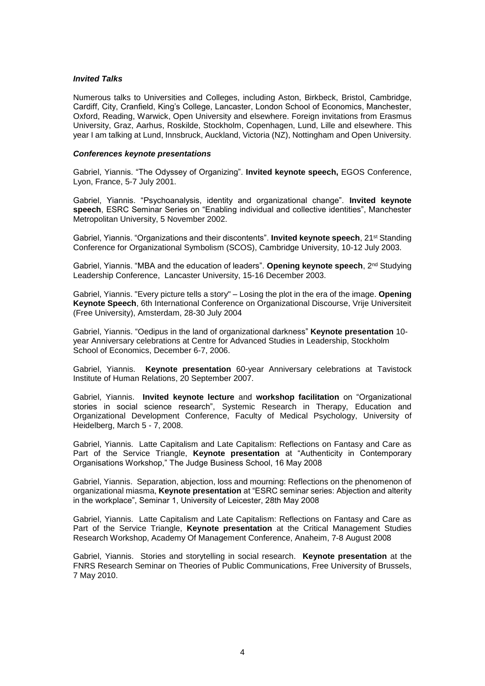### *Invited Talks*

Numerous talks to Universities and Colleges, including Aston, Birkbeck, Bristol, Cambridge, Cardiff, City, Cranfield, King's College, Lancaster, London School of Economics, Manchester, Oxford, Reading, Warwick, Open University and elsewhere. Foreign invitations from Erasmus University, Graz, Aarhus, Roskilde, Stockholm, Copenhagen, Lund, Lille and elsewhere. This year I am talking at Lund, Innsbruck, Auckland, Victoria (NZ), Nottingham and Open University.

#### *Conferences keynote presentations*

Gabriel, Yiannis. "The Odyssey of Organizing". **Invited keynote speech,** EGOS Conference, Lyon, France, 5-7 July 2001.

Gabriel, Yiannis. "Psychoanalysis, identity and organizational change". **Invited keynote speech**, ESRC Seminar Series on "Enabling individual and collective identities", Manchester Metropolitan University, 5 November 2002.

Gabriel, Yiannis. "Organizations and their discontents". **Invited keynote speech**, 21<sup>st</sup> Standing Conference for Organizational Symbolism (SCOS), Cambridge University, 10-12 July 2003.

Gabriel, Yiannis. "MBA and the education of leaders". Opening keynote speech, 2<sup>nd</sup> Studying Leadership Conference, Lancaster University, 15-16 December 2003.

Gabriel, Yiannis. "Every picture tells a story" – Losing the plot in the era of the image. **Opening Keynote Speech**, 6th International Conference on Organizational Discourse, Vrije Universiteit (Free University), Amsterdam, 28-30 July 2004

Gabriel, Yiannis. "Oedipus in the land of organizational darkness" **Keynote presentation** 10 year Anniversary celebrations at Centre for Advanced Studies in Leadership, Stockholm School of Economics, December 6-7, 2006.

Gabriel, Yiannis. **Keynote presentation** 60-year Anniversary celebrations at Tavistock Institute of Human Relations, 20 September 2007.

Gabriel, Yiannis. **Invited keynote lecture** and **workshop facilitation** on "Organizational stories in social science research", Systemic Research in Therapy, Education and Organizational Development Conference, Faculty of Medical Psychology, University of Heidelberg, March 5 - 7, 2008.

Gabriel, Yiannis. Latte Capitalism and Late Capitalism: Reflections on Fantasy and Care as Part of the Service Triangle, **Keynote presentation** at "Authenticity in Contemporary Organisations Workshop," The Judge Business School, 16 May 2008

Gabriel, Yiannis. Separation, abjection, loss and mourning: Reflections on the phenomenon of organizational miasma, **Keynote presentation** at "ESRC seminar series: Abjection and alterity in the workplace", Seminar 1, University of Leicester, 28th May 2008

Gabriel, Yiannis. Latte Capitalism and Late Capitalism: Reflections on Fantasy and Care as Part of the Service Triangle, **Keynote presentation** at the Critical Management Studies Research Workshop, Academy Of Management Conference, Anaheim, 7-8 August 2008

Gabriel, Yiannis. Stories and storytelling in social research. **Keynote presentation** at the FNRS Research Seminar on Theories of Public Communications, Free University of Brussels, 7 May 2010.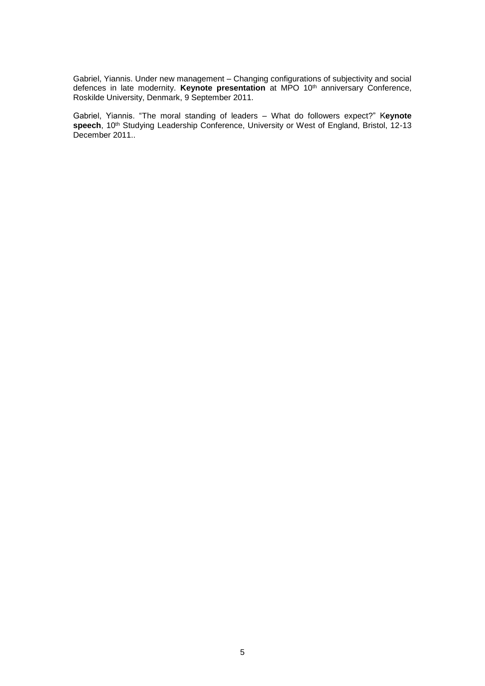Gabriel, Yiannis. Under new management – Changing configurations of subjectivity and social defences in late modernity. **Keynote presentation** at MPO 10th anniversary Conference, Roskilde University, Denmark, 9 September 2011.

Gabriel, Yiannis. "The moral standing of leaders – What do followers expect?" K**eynote speech**, 10th Studying Leadership Conference, University or West of England, Bristol, 12-13 December 2011..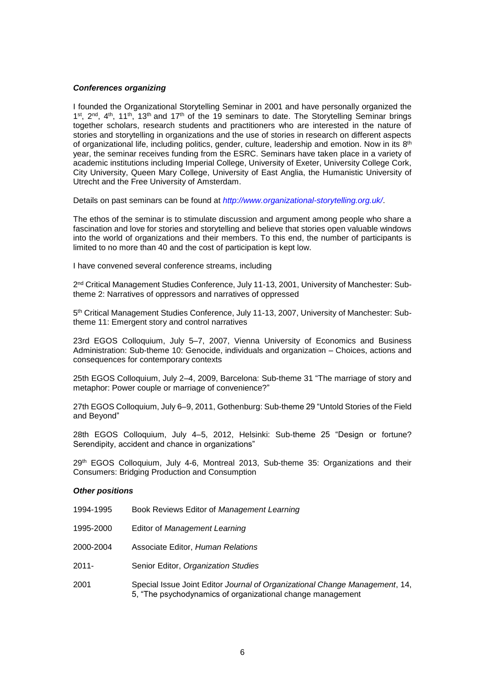## *Conferences organizing*

I founded the Organizational Storytelling Seminar in 2001 and have personally organized the 1<sup>st</sup>, 2<sup>nd</sup>, 4<sup>th</sup>, 11<sup>th</sup>, 13<sup>th</sup> and 17<sup>th</sup> of the 19 seminars to date. The Storytelling Seminar brings together scholars, research students and practitioners who are interested in the nature of stories and storytelling in organizations and the use of stories in research on different aspects of organizational life, including politics, gender, culture, leadership and emotion. Now in its  $8^{\text{th}}$ year, the seminar receives funding from the ESRC. Seminars have taken place in a variety of academic institutions including Imperial College, University of Exeter, University College Cork, City University, Queen Mary College, University of East Anglia, the Humanistic University of Utrecht and the Free University of Amsterdam.

Details on past seminars can be found at *<http://www.organizational-storytelling.org.uk/>*.

The ethos of the seminar is to stimulate discussion and argument among people who share a fascination and love for stories and storytelling and believe that stories open valuable windows into the world of organizations and their members. To this end, the number of participants is limited to no more than 40 and the cost of participation is kept low.

I have convened several conference streams, including

2<sup>nd</sup> Critical Management Studies Conference, July 11-13, 2001, University of Manchester: Subtheme 2: Narratives of oppressors and narratives of oppressed

5 th Critical Management Studies Conference, July 11-13, 2007, University of Manchester: Subtheme 11: Emergent story and control narratives

23rd EGOS Colloquium, July 5–7, 2007, Vienna University of Economics and Business Administration: Sub-theme 10: Genocide, individuals and organization – Choices, actions and consequences for contemporary contexts

25th EGOS Colloquium, July 2–4, 2009, Barcelona: Sub-theme 31 "The marriage of story and metaphor: Power couple or marriage of convenience?"

27th EGOS Colloquium, July 6–9, 2011, Gothenburg: Sub-theme 29 "Untold Stories of the Field and Beyond"

28th EGOS Colloquium, July 4–5, 2012, Helsinki: Sub-theme 25 "Design or fortune? Serendipity, accident and chance in organizations"

29 th EGOS Colloquium, July 4-6, Montreal 2013, Sub-theme 35: Organizations and their Consumers: Bridging Production and Consumption

## *Other positions*

- 1994-1995 Book Reviews Editor of *Management Learning*
- 1995-2000 Editor of *Management Learning*
- 2000-2004 Associate Editor, *Human Relations*
- 2011- Senior Editor, *Organization Studies*
- 2001 Special Issue Joint Editor *Journal of Organizational Change Management*, 14, 5, "The psychodynamics of organizational change management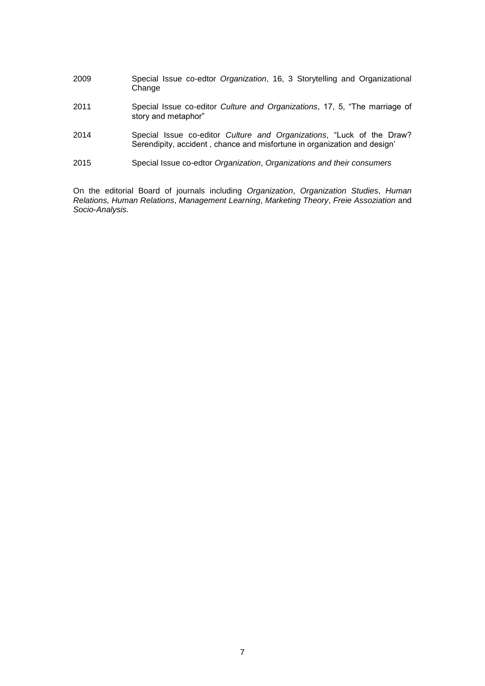- 2009 Special Issue co-edtor *Organization*, 16, 3 Storytelling and Organizational Change
- 2011 Special Issue co-editor *Culture and Organizations*, 17, 5, "The marriage of story and metaphor"
- 2014 Special Issue co-editor *Culture and Organizations*, "Luck of the Draw? Serendipity, accident , chance and misfortune in organization and design'
- 2015 Special Issue co-edtor *Organization*, *Organizations and their consumers*

On the editorial Board of journals including *Organization*, *Organization Studies*, *Human Relations, Human Relations*, *Management Learning*, *Marketing Theory*, *Freie Assoziation* and *Socio-Analysis.*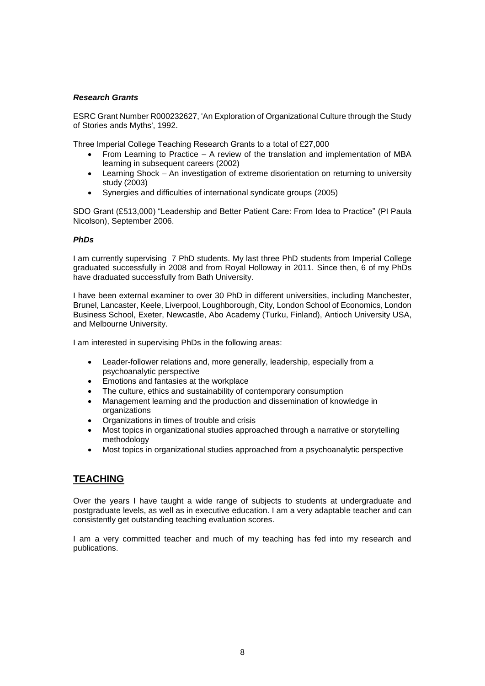## *Research Grants*

ESRC Grant Number R000232627, 'An Exploration of Organizational Culture through the Study of Stories ands Myths', 1992.

Three Imperial College Teaching Research Grants to a total of £27,000

- From Learning to Practice A review of the translation and implementation of MBA learning in subsequent careers (2002)
- Learning Shock An investigation of extreme disorientation on returning to university study (2003)
- Synergies and difficulties of international syndicate groups (2005)

SDO Grant (£513,000) "Leadership and Better Patient Care: From Idea to Practice" (PI Paula Nicolson), September 2006.

## *PhDs*

I am currently supervising 7 PhD students. My last three PhD students from Imperial College graduated successfully in 2008 and from Royal Holloway in 2011. Since then, 6 of my PhDs have draduated successfully from Bath University.

I have been external examiner to over 30 PhD in different universities, including Manchester, Brunel, Lancaster, Keele, Liverpool, Loughborough, City, London School of Economics, London Business School, Exeter, Newcastle, Abo Academy (Turku, Finland), Antioch University USA, and Melbourne University.

I am interested in supervising PhDs in the following areas:

- Leader-follower relations and, more generally, leadership, especially from a psychoanalytic perspective
- Emotions and fantasies at the workplace
- The culture, ethics and sustainability of contemporary consumption
- Management learning and the production and dissemination of knowledge in organizations
- Organizations in times of trouble and crisis
- Most topics in organizational studies approached through a narrative or storytelling methodology
- Most topics in organizational studies approached from a psychoanalytic perspective

# **TEACHING**

Over the years I have taught a wide range of subjects to students at undergraduate and postgraduate levels, as well as in executive education. I am a very adaptable teacher and can consistently get outstanding teaching evaluation scores.

I am a very committed teacher and much of my teaching has fed into my research and publications.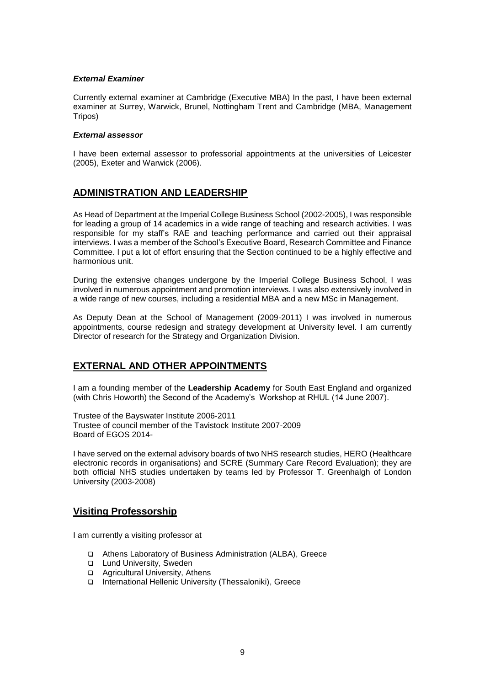## *External Examiner*

Currently external examiner at Cambridge (Executive MBA) In the past, I have been external examiner at Surrey, Warwick, Brunel, Nottingham Trent and Cambridge (MBA, Management Tripos)

## *External assessor*

I have been external assessor to professorial appointments at the universities of Leicester (2005), Exeter and Warwick (2006).

# **ADMINISTRATION AND LEADERSHIP**

As Head of Department at the Imperial College Business School (2002-2005), I was responsible for leading a group of 14 academics in a wide range of teaching and research activities. I was responsible for my staff's RAE and teaching performance and carried out their appraisal interviews. I was a member of the School's Executive Board, Research Committee and Finance Committee. I put a lot of effort ensuring that the Section continued to be a highly effective and harmonious unit.

During the extensive changes undergone by the Imperial College Business School, I was involved in numerous appointment and promotion interviews. I was also extensively involved in a wide range of new courses, including a residential MBA and a new MSc in Management.

As Deputy Dean at the School of Management (2009-2011) I was involved in numerous appointments, course redesign and strategy development at University level. I am currently Director of research for the Strategy and Organization Division.

# **EXTERNAL AND OTHER APPOINTMENTS**

I am a founding member of the **Leadership Academy** for South East England and organized (with Chris Howorth) the Second of the Academy's Workshop at RHUL (14 June 2007).

Trustee of the Bayswater Institute 2006-2011 Trustee of council member of the Tavistock Institute 2007-2009 Board of EGOS 2014-

I have served on the external advisory boards of two NHS research studies, HERO (Healthcare electronic records in organisations) and SCRE (Summary Care Record Evaluation); they are both official NHS studies undertaken by teams led by Professor T. Greenhalgh of London University (2003-2008)

# **Visiting Professorship**

I am currently a visiting professor at

- Athens Laboratory of Business Administration (ALBA), Greece
- □ Lund University, Sweden
- □ Agricultural University, Athens
- International Hellenic University (Thessaloniki), Greece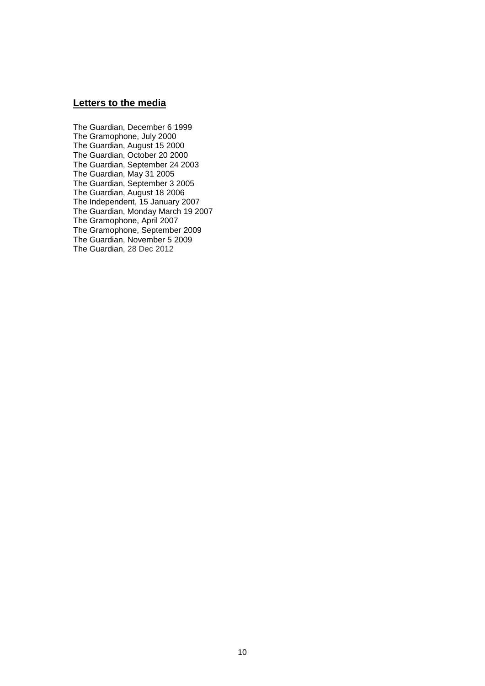# **Letters to the media**

The Guardian, December 6 1999 The Gramophone, July 2000 The Guardian, August 15 2000 The Guardian, October 20 2000 The Guardian, September 24 2003 The Guardian, May 31 2005 The Guardian, September 3 2005 The Guardian, August 18 2006 The Independent, 15 January 2007 The Guardian, Monday March 19 2007 The Gramophone, April 2007 The Gramophone, September 2009 The Guardian, November 5 2009 The Guardian, 28 Dec 2012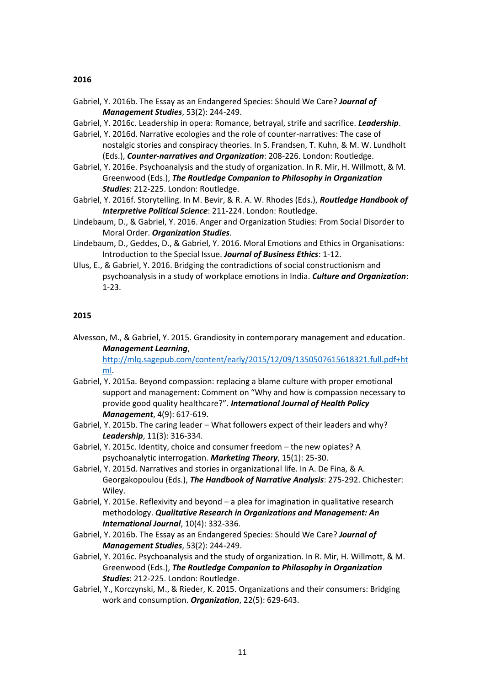#### **2016**

- Gabriel, Y. 2016b. The Essay as an Endangered Species: Should We Care? *Journal of Management Studies*, 53(2): 244-249.
- Gabriel, Y. 2016c. Leadership in opera: Romance, betrayal, strife and sacrifice. *Leadership*.
- Gabriel, Y. 2016d. Narrative ecologies and the role of counter-narratives: The case of nostalgic stories and conspiracy theories. In S. Frandsen, T. Kuhn, & M. W. Lundholt (Eds.), *Counter-narratives and Organization*: 208-226. London: Routledge.
- Gabriel, Y. 2016e. Psychoanalysis and the study of organization. In R. Mir, H. Willmott, & M. Greenwood (Eds.), *The Routledge Companion to Philosophy in Organization Studies*: 212-225. London: Routledge.
- Gabriel, Y. 2016f. Storytelling. In M. Bevir, & R. A. W. Rhodes (Eds.), *Routledge Handbook of Interpretive Political Science*: 211-224. London: Routledge.
- Lindebaum, D., & Gabriel, Y. 2016. Anger and Organization Studies: From Social Disorder to Moral Order. *Organization Studies*.
- Lindebaum, D., Geddes, D., & Gabriel, Y. 2016. Moral Emotions and Ethics in Organisations: Introduction to the Special Issue. *Journal of Business Ethics*: 1-12.
- Ulus, E., & Gabriel, Y. 2016. Bridging the contradictions of social constructionism and psychoanalysis in a study of workplace emotions in India. *Culture and Organization*: 1-23.

## **2015**

Alvesson, M., & Gabriel, Y. 2015. Grandiosity in contemporary management and education. *Management Learning*,

[http://mlq.sagepub.com/content/early/2015/12/09/1350507615618321.full.pdf+ht](http://mlq.sagepub.com/content/early/2015/12/09/1350507615618321.full.pdf+html) [ml.](http://mlq.sagepub.com/content/early/2015/12/09/1350507615618321.full.pdf+html)

- Gabriel, Y. 2015a. Beyond compassion: replacing a blame culture with proper emotional support and management: Comment on "Why and how is compassion necessary to provide good quality healthcare?". *International Journal of Health Policy Management*, 4(9): 617-619.
- Gabriel, Y. 2015b. The caring leader What followers expect of their leaders and why? *Leadership*, 11(3): 316-334.
- Gabriel, Y. 2015c. Identity, choice and consumer freedom the new opiates? A psychoanalytic interrogation. *Marketing Theory*, 15(1): 25-30.
- Gabriel, Y. 2015d. Narratives and stories in organizational life. In A. De Fina, & A. Georgakopoulou (Eds.), *The Handbook of Narrative Analysis*: 275-292. Chichester: Wiley.
- Gabriel, Y. 2015e. Reflexivity and beyond a plea for imagination in qualitative research methodology. *Qualitative Research in Organizations and Management: An International Journal*, 10(4): 332-336.
- Gabriel, Y. 2016b. The Essay as an Endangered Species: Should We Care? *Journal of Management Studies*, 53(2): 244-249.
- Gabriel, Y. 2016c. Psychoanalysis and the study of organization. In R. Mir, H. Willmott, & M. Greenwood (Eds.), *The Routledge Companion to Philosophy in Organization Studies*: 212-225. London: Routledge.
- Gabriel, Y., Korczynski, M., & Rieder, K. 2015. Organizations and their consumers: Bridging work and consumption. *Organization*, 22(5): 629-643.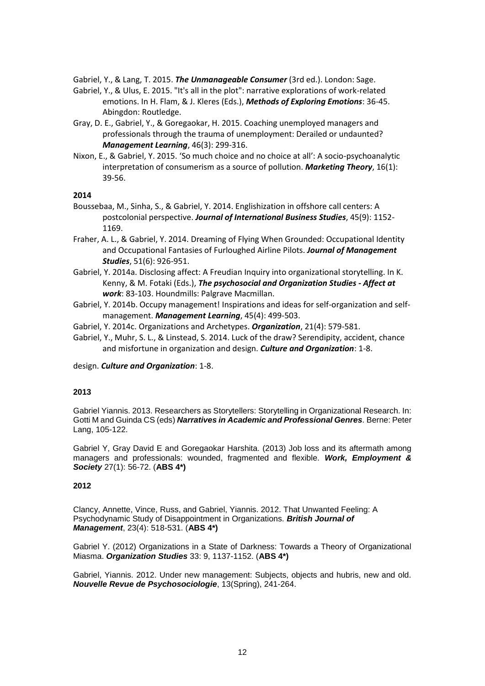Gabriel, Y., & Lang, T. 2015. *The Unmanageable Consumer* (3rd ed.). London: Sage.

- Gabriel, Y., & Ulus, E. 2015. "It's all in the plot": narrative explorations of work-related emotions. In H. Flam, & J. Kleres (Eds.), *Methods of Exploring Emotions*: 36-45. Abingdon: Routledge.
- Gray, D. E., Gabriel, Y., & Goregaokar, H. 2015. Coaching unemployed managers and professionals through the trauma of unemployment: Derailed or undaunted? *Management Learning*, 46(3): 299-316.
- Nixon, E., & Gabriel, Y. 2015. 'So much choice and no choice at all': A socio-psychoanalytic interpretation of consumerism as a source of pollution. *Marketing Theory*, 16(1): 39-56.

## **2014**

- Boussebaa, M., Sinha, S., & Gabriel, Y. 2014. Englishization in offshore call centers: A postcolonial perspective. *Journal of International Business Studies*, 45(9): 1152- 1169.
- Fraher, A. L., & Gabriel, Y. 2014. Dreaming of Flying When Grounded: Occupational Identity and Occupational Fantasies of Furloughed Airline Pilots. *Journal of Management Studies*, 51(6): 926-951.
- Gabriel, Y. 2014a. Disclosing affect: A Freudian Inquiry into organizational storytelling. In K. Kenny, & M. Fotaki (Eds.), *The psychosocial and Organization Studies - Affect at work*: 83-103. Houndmills: Palgrave Macmillan.
- Gabriel, Y. 2014b. Occupy management! Inspirations and ideas for self-organization and selfmanagement. *Management Learning*, 45(4): 499-503.
- Gabriel, Y. 2014c. Organizations and Archetypes. *Organization*, 21(4): 579-581.
- Gabriel, Y., Muhr, S. L., & Linstead, S. 2014. Luck of the draw? Serendipity, accident, chance and misfortune in organization and design. *Culture and Organization*: 1-8.

design. *Culture and Organization*: 1-8.

## **2013**

Gabriel Yiannis. 2013. Researchers as Storytellers: Storytelling in Organizational Research. In: Gotti M and Guinda CS (eds) *Narratives in Academic and Professional Genres.* Berne: Peter Lang, 105-122.

Gabriel Y, Gray David E and Goregaokar Harshita. (2013) Job loss and its aftermath among managers and professionals: wounded, fragmented and flexible. *Work, Employment & Society* 27(1): 56-72. (**ABS 4\*)**

## **2012**

Clancy, Annette, Vince, Russ, and Gabriel, Yiannis. 2012. That Unwanted Feeling: A Psychodynamic Study of Disappointment in Organizations. *British Journal of Management*, 23(4): 518-531. (**ABS 4\*)**

Gabriel Y. (2012) Organizations in a State of Darkness: Towards a Theory of Organizational Miasma. *Organization Studies* 33: 9, 1137-1152. (**ABS 4\*)**

Gabriel, Yiannis. 2012. Under new management: Subjects, objects and hubris, new and old. *Nouvelle Revue de Psychosociologie*, 13(Spring), 241-264.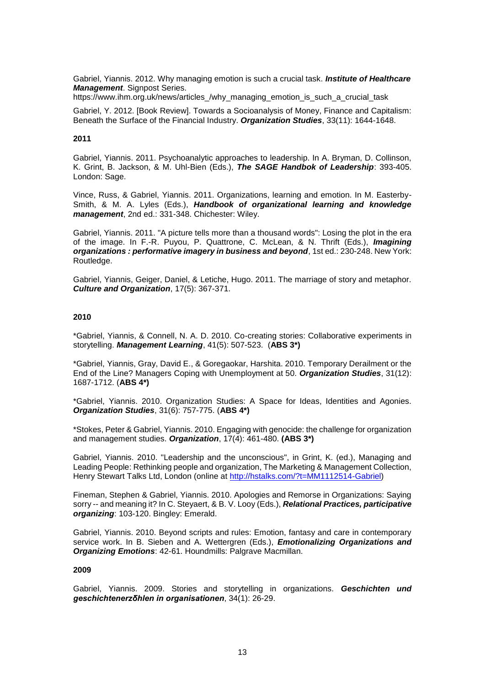Gabriel, Yiannis. 2012. Why managing emotion is such a crucial task. *Institute of Healthcare Management*. Signpost Series.

https://www.ihm.org.uk/news/articles /why\_managing\_emotion\_is\_such\_a\_crucial\_task

Gabriel, Y. 2012. [Book Review]. Towards a Socioanalysis of Money, Finance and Capitalism: Beneath the Surface of the Financial Industry. *Organization Studies*, 33(11): 1644-1648.

## **2011**

Gabriel, Yiannis. 2011. Psychoanalytic approaches to leadership. In A. Bryman, D. Collinson, K. Grint, B. Jackson, & M. Uhl-Bien (Eds.), *The SAGE Handbok of Leadership*: 393-405. London: Sage.

Vince, Russ, & Gabriel, Yiannis. 2011. Organizations, learning and emotion. In M. Easterby-Smith, & M. A. Lyles (Eds.), *Handbook of organizational learning and knowledge management*, 2nd ed.: 331-348. Chichester: Wiley.

Gabriel, Yiannis. 2011. "A picture tells more than a thousand words": Losing the plot in the era of the image. In F.-R. Puyou, P. Quattrone, C. McLean, & N. Thrift (Eds.), *Imagining organizations : performative imagery in business and beyond*, 1st ed.: 230-248. New York: Routledge.

Gabriel, Yiannis, Geiger, Daniel, & Letiche, Hugo. 2011. The marriage of story and metaphor. *Culture and Organization*, 17(5): 367-371.

## **2010**

\*Gabriel, Yiannis, & Connell, N. A. D. 2010. Co-creating stories: Collaborative experiments in storytelling. *Management Learning*, 41(5): 507-523. (**ABS 3\*)**

\*Gabriel, Yiannis, Gray, David E., & Goregaokar, Harshita. 2010. Temporary Derailment or the End of the Line? Managers Coping with Unemployment at 50. *Organization Studies*, 31(12): 1687-1712. (**ABS 4\*)**

\*Gabriel, Yiannis. 2010. Organization Studies: A Space for Ideas, Identities and Agonies. *Organization Studies*, 31(6): 757-775. (**ABS 4\*)**

\*Stokes, Peter & Gabriel, Yiannis. 2010. Engaging with genocide: the challenge for organization and management studies. *Organization*, 17(4): 461-480. **(ABS 3\*)**

Gabriel, Yiannis. 2010. "Leadership and the unconscious", in Grint, K. (ed.), Managing and Leading People: Rethinking people and organization, The Marketing & Management Collection, Henry Stewart Talks Ltd, London (online at [http://hstalks.com/?t=MM1112514-Gabriel\)](http://hstalks.com/?t=MM1112514-Gabriel)

Fineman, Stephen & Gabriel, Yiannis. 2010. Apologies and Remorse in Organizations: Saying sorry -- and meaning it? In C. Steyaert, & B. V. Looy (Eds.), *Relational Practices, participative organizing*: 103-120. Bingley: Emerald.

Gabriel, Yiannis. 2010. Beyond scripts and rules: Emotion, fantasy and care in contemporary service work. In B. Sieben and A. Wettergren (Eds.), *Emotionalizing Organizations and Organizing Emotions*: 42-61. Houndmills: Palgrave Macmillan.

## **2009**

Gabriel, Yiannis. 2009. Stories and storytelling in organizations. *Geschichten und geschichtenerzδhlen in organisationen*, 34(1): 26-29.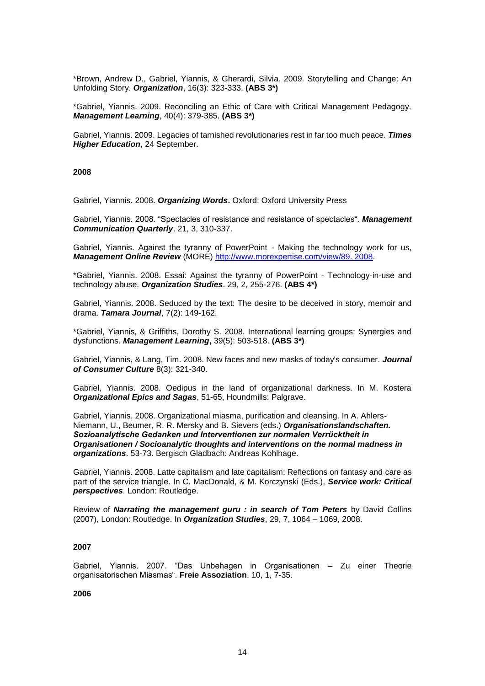\*Brown, Andrew D., Gabriel, Yiannis, & Gherardi, Silvia. 2009. Storytelling and Change: An Unfolding Story. *Organization*, 16(3): 323-333. **(ABS 3\*)**

\*Gabriel, Yiannis. 2009. Reconciling an Ethic of Care with Critical Management Pedagogy. *Management Learning*, 40(4): 379-385. **(ABS 3\*)**

Gabriel, Yiannis. 2009. Legacies of tarnished revolutionaries rest in far too much peace. *Times Higher Education*, 24 September.

#### **2008**

Gabriel, Yiannis. 2008. *Organizing Words***.** Oxford: Oxford University Press

Gabriel, Yiannis. 2008. "Spectacles of resistance and resistance of spectacles". *Management Communication Quarterly*. 21, 3, 310-337.

Gabriel, Yiannis. Against the tyranny of PowerPoint - Making the technology work for us, *Management Online Review* (MORE) [http://www.morexpertise.com/view/89. 2008.](http://www.morexpertise.com/view/89.%202008)

\*Gabriel, Yiannis. 2008. Essai: Against the tyranny of PowerPoint - Technology-in-use and technology abuse. *Organization Studies*. 29, 2, 255-276. **(ABS 4\*)**

Gabriel, Yiannis. 2008. Seduced by the text: The desire to be deceived in story, memoir and drama. *Tamara Journal*, 7(2): 149-162.

\*Gabriel, Yiannis, & Griffiths, Dorothy S. 2008. International learning groups: Synergies and dysfunctions. *Management Learning***,** 39(5): 503-518. **(ABS 3\*)**

Gabriel, Yiannis, & Lang, Tim. 2008. New faces and new masks of today's consumer. *Journal of Consumer Culture* 8(3): 321-340.

Gabriel, Yiannis. 2008. Oedipus in the land of organizational darkness. In M. Kostera *Organizational Epics and Sagas*, 51-65, Houndmills: Palgrave.

Gabriel, Yiannis. 2008. Organizational miasma, purification and cleansing. In A. Ahlers-Niemann, U., Beumer, R. R. Mersky and B. Sievers (eds.) *Organisationslandschaften. Sozioanalytische Gedanken und Interventionen zur normalen Verrücktheit in Organisationen / Socioanalytic thoughts and interventions on the normal madness in organizations*. 53-73. Bergisch Gladbach: Andreas Kohlhage.

Gabriel, Yiannis. 2008. Latte capitalism and late capitalism: Reflections on fantasy and care as part of the service triangle. In C. MacDonald, & M. Korczynski (Eds.), *Service work: Critical perspectives*. London: Routledge.

Review of *Narrating the management guru : in search of Tom Peters* by David Collins (2007), London: Routledge. In *Organization Studies*, 29, 7, 1064 – 1069, 2008.

#### **2007**

Gabriel, Yiannis. 2007. "Das Unbehagen in Organisationen – Zu einer Theorie organisatorischen Miasmas". **Freie Assoziation**. 10, 1, 7-35.

**2006**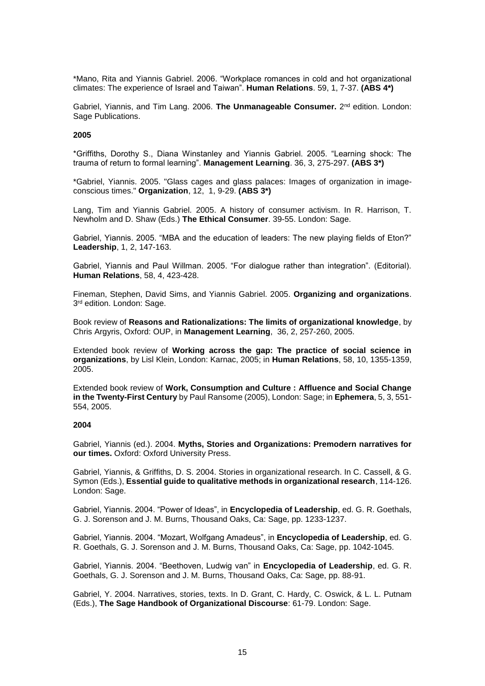\*Mano, Rita and Yiannis Gabriel. 2006. "Workplace romances in cold and hot organizational climates: The experience of Israel and Taiwan". **Human Relations**. 59, 1, 7-37. **(ABS 4\*)**

Gabriel, Yiannis, and Tim Lang. 2006. **The Unmanageable Consumer.** 2<sup>nd</sup> edition. London: Sage Publications.

#### **2005**

\*Griffiths, Dorothy S., Diana Winstanley and Yiannis Gabriel. 2005. "Learning shock: The trauma of return to formal learning". **Management Learning**. 36, 3, 275-297. **(ABS 3\*)**

\*Gabriel, Yiannis. 2005. "Glass cages and glass palaces: Images of organization in imageconscious times." **Organization**, 12, 1, 9-29. **(ABS 3\*)**

Lang, Tim and Yiannis Gabriel. 2005. A history of consumer activism. In R. Harrison, T. Newholm and D. Shaw (Eds.) **The Ethical Consumer**. 39-55. London: Sage.

Gabriel, Yiannis. 2005. "MBA and the education of leaders: The new playing fields of Eton?" **Leadership**, 1, 2, 147-163.

Gabriel, Yiannis and Paul Willman. 2005. "For dialogue rather than integration". (Editorial). **Human Relations**, 58, 4, 423-428.

Fineman, Stephen, David Sims, and Yiannis Gabriel. 2005. **Organizing and organizations**. 3 rd edition. London: Sage.

Book review of **Reasons and Rationalizations: The limits of organizational knowledge**, by Chris Argyris, Oxford: OUP, in **Management Learning**, 36, 2, 257-260, 2005.

Extended book review of **Working across the gap: The practice of social science in organizations**, by Lisl Klein, London: Karnac, 2005; in **Human Relations**, 58, 10, 1355-1359, 2005.

Extended book review of **Work, Consumption and Culture : Affluence and Social Change in the Twenty-First Century** by Paul Ransome (2005), London: Sage; in **Ephemera**, 5, 3, 551- 554, 2005.

## **2004**

Gabriel, Yiannis (ed.). 2004. **Myths, Stories and Organizations: Premodern narratives for our times.** Oxford: Oxford University Press.

Gabriel, Yiannis, & Griffiths, D. S. 2004. Stories in organizational research. In C. Cassell, & G. Symon (Eds.), **Essential guide to qualitative methods in organizational research**, 114-126. London: Sage.

Gabriel, Yiannis. 2004. "Power of Ideas", in **Encyclopedia of Leadership**, ed. G. R. Goethals, G. J. Sorenson and J. M. Burns, Thousand Oaks, Ca: Sage, pp. 1233-1237.

Gabriel, Yiannis. 2004. "Mozart, Wolfgang Amadeus", in **Encyclopedia of Leadership**, ed. G. R. Goethals, G. J. Sorenson and J. M. Burns, Thousand Oaks, Ca: Sage, pp. 1042-1045.

Gabriel, Yiannis. 2004. "Beethoven, Ludwig van" in **Encyclopedia of Leadership**, ed. G. R. Goethals, G. J. Sorenson and J. M. Burns, Thousand Oaks, Ca: Sage, pp. 88-91.

Gabriel, Y. 2004. Narratives, stories, texts. In D. Grant, C. Hardy, C. Oswick, & L. L. Putnam (Eds.), **The Sage Handbook of Organizational Discourse**: 61-79. London: Sage.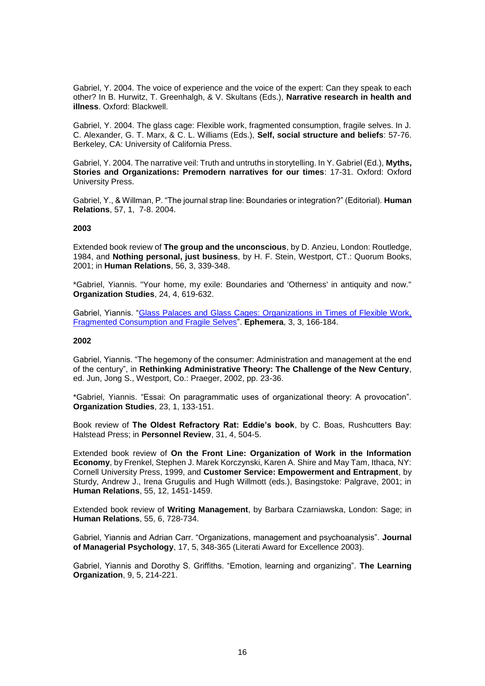Gabriel, Y. 2004. The voice of experience and the voice of the expert: Can they speak to each other? In B. Hurwitz, T. Greenhalgh, & V. Skultans (Eds.), **Narrative research in health and illness**. Oxford: Blackwell.

Gabriel, Y. 2004. The glass cage: Flexible work, fragmented consumption, fragile selves. In J. C. Alexander, G. T. Marx, & C. L. Williams (Eds.), **Self, social structure and beliefs**: 57-76. Berkeley, CA: University of California Press.

Gabriel, Y. 2004. The narrative veil: Truth and untruths in storytelling. In Y. Gabriel (Ed.), **Myths, Stories and Organizations: Premodern narratives for our times**: 17-31. Oxford: Oxford University Press.

Gabriel, Y., & Willman, P. "The journal strap line: Boundaries or integration?" (Editorial). **Human Relations**, 57, 1, 7-8. 2004.

#### **2003**

Extended book review of **The group and the unconscious**, by D. Anzieu, London: Routledge, 1984, and **Nothing personal, just business**, by H. F. Stein, Westport, CT.: Quorum Books, 2001; in **Human Relations**, 56, 3, 339-348.

\*Gabriel, Yiannis. "Your home, my exile: Boundaries and 'Otherness' in antiquity and now." **Organization Studies**, 24, 4, 619-632.

Gabriel, Yiannis. ["Glass Palaces and Glass Cages: Organizations in Times of Flexible Work,](http://users.wbs.warwick.ac.uk/ephemera/ephemeraweb/journal/3-3/3-3gabriel.pdf)  [Fragmented Consumption and Fragile Selves"](http://users.wbs.warwick.ac.uk/ephemera/ephemeraweb/journal/3-3/3-3gabriel.pdf). **Ephemera**, 3, 3, 166-184.

#### **2002**

Gabriel, Yiannis. "The hegemony of the consumer: Administration and management at the end of the century", in **Rethinking Administrative Theory: The Challenge of the New Century**, ed. Jun, Jong S., Westport, Co.: Praeger, 2002, pp. 23-36.

\*Gabriel, Yiannis. "Essai: On paragrammatic uses of organizational theory: A provocation". **Organization Studies**, 23, 1, 133-151.

Book review of **The Oldest Refractory Rat: Eddie's book**, by C. Boas, Rushcutters Bay: Halstead Press; in **Personnel Review**, 31, 4, 504-5.

Extended book review of **On the Front Line: Organization of Work in the Information Economy**, by Frenkel, Stephen J. Marek Korczynski, Karen A. Shire and May Tam, Ithaca, NY: Cornell University Press, 1999, and **Customer Service: Empowerment and Entrapment**, by Sturdy, Andrew J., Irena Grugulis and Hugh Willmott (eds.), Basingstoke: Palgrave, 2001; in **Human Relations**, 55, 12, 1451-1459.

Extended book review of **Writing Management**, by Barbara Czarniawska, London: Sage; in **Human Relations**, 55, 6, 728-734.

Gabriel, Yiannis and Adrian Carr. "Organizations, management and psychoanalysis". **Journal of Managerial Psychology**, 17, 5, 348-365 (Literati Award for Excellence 2003).

Gabriel, Yiannis and Dorothy S. Griffiths. "Emotion, learning and organizing". **The Learning Organization**, 9, 5, 214-221.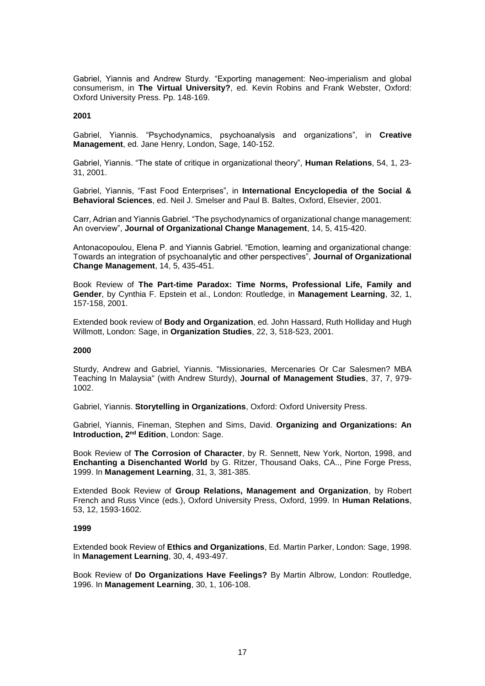Gabriel, Yiannis and Andrew Sturdy. "Exporting management: Neo-imperialism and global consumerism, in **The Virtual University?**, ed. Kevin Robins and Frank Webster, Oxford: Oxford University Press. Pp. 148-169.

#### **2001**

Gabriel, Yiannis. "Psychodynamics, psychoanalysis and organizations", in **Creative Management**, ed. Jane Henry, London, Sage, 140-152.

Gabriel, Yiannis. "The state of critique in organizational theory", **Human Relations**, 54, 1, 23- 31, 2001.

Gabriel, Yiannis, "Fast Food Enterprises", in **International Encyclopedia of the Social & Behavioral Sciences**, ed. Neil J. Smelser and Paul B. Baltes, Oxford, Elsevier, 2001.

Carr, Adrian and Yiannis Gabriel. "The psychodynamics of organizational change management: An overview", **Journal of Organizational Change Management**, 14, 5, 415-420.

Antonacopoulou, Elena P. and Yiannis Gabriel. "Emotion, learning and organizational change: Towards an integration of psychoanalytic and other perspectives", **Journal of Organizational Change Management**, 14, 5, 435-451.

Book Review of **The Part-time Paradox: Time Norms, Professional Life, Family and Gender**, by Cynthia F. Epstein et al., London: Routledge, in **Management Learning**, 32, 1, 157-158, 2001.

Extended book review of **Body and Organization**, ed. John Hassard, Ruth Holliday and Hugh Willmott, London: Sage, in **Organization Studies**, 22, 3, 518-523, 2001.

#### **2000**

Sturdy, Andrew and Gabriel, Yiannis. "Missionaries, Mercenaries Or Car Salesmen? MBA Teaching In Malaysia" (with Andrew Sturdy), **Journal of Management Studies**, 37, 7, 979- 1002.

Gabriel, Yiannis. **Storytelling in Organizations**, Oxford: Oxford University Press.

Gabriel, Yiannis, Fineman, Stephen and Sims, David. **Organizing and Organizations: An Introduction, 2nd Edition**, London: Sage.

Book Review of **The Corrosion of Character**, by R. Sennett, New York, Norton, 1998, and **Enchanting a Disenchanted World** by G. Ritzer, Thousand Oaks, CA.., Pine Forge Press, 1999. In **Management Learning**, 31, 3, 381-385.

Extended Book Review of **Group Relations, Management and Organization**, by Robert French and Russ Vince (eds.), Oxford University Press, Oxford, 1999. In **Human Relations**, 53, 12, 1593-1602.

## **1999**

Extended book Review of **Ethics and Organizations**, Ed. Martin Parker, London: Sage, 1998. In **Management Learning**, 30, 4, 493-497.

Book Review of **Do Organizations Have Feelings?** By Martin Albrow, London: Routledge, 1996. In **Management Learning**, 30, 1, 106-108.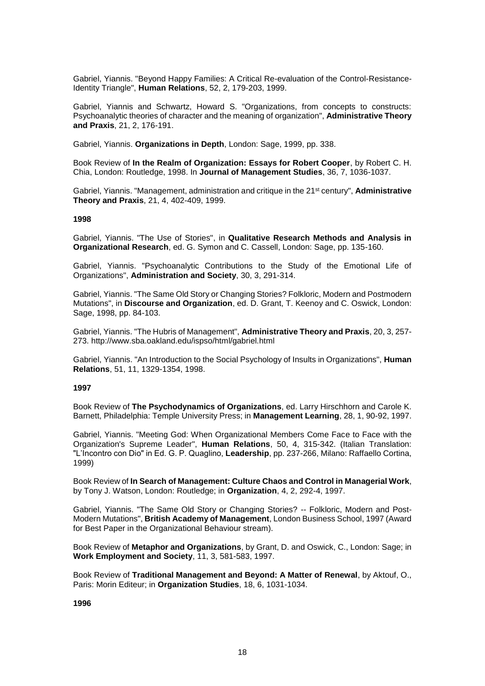Gabriel, Yiannis. "Beyond Happy Families: A Critical Re-evaluation of the Control-Resistance-Identity Triangle", **Human Relations**, 52, 2, 179-203, 1999.

Gabriel, Yiannis and Schwartz, Howard S. "Organizations, from concepts to constructs: Psychoanalytic theories of character and the meaning of organization", **Administrative Theory and Praxis**, 21, 2, 176-191.

Gabriel, Yiannis. **Organizations in Depth**, London: Sage, 1999, pp. 338.

Book Review of **In the Realm of Organization: Essays for Robert Cooper**, by Robert C. H. Chia, London: Routledge, 1998. In **Journal of Management Studies**, 36, 7, 1036-1037.

Gabriel, Yiannis. "Management, administration and critique in the 21st century", **Administrative Theory and Praxis**, 21, 4, 402-409, 1999.

#### **1998**

Gabriel, Yiannis. "The Use of Stories", in **Qualitative Research Methods and Analysis in Organizational Research**, ed. G. Symon and C. Cassell, London: Sage, pp. 135-160.

Gabriel, Yiannis. "Psychoanalytic Contributions to the Study of the Emotional Life of Organizations", **Administration and Society**, 30, 3, 291-314.

Gabriel, Yiannis. "The Same Old Story or Changing Stories? Folkloric, Modern and Postmodern Mutations", in **Discourse and Organization**, ed. D. Grant, T. Keenoy and C. Oswick, London: Sage, 1998, pp. 84-103.

Gabriel, Yiannis. "The Hubris of Management", **Administrative Theory and Praxis**, 20, 3, 257- 273. http://www.sba.oakland.edu/ispso/html/gabriel.html

Gabriel, Yiannis. "An Introduction to the Social Psychology of Insults in Organizations", **Human Relations**, 51, 11, 1329-1354, 1998.

#### **1997**

Book Review of **The Psychodynamics of Organizations**, ed. Larry Hirschhorn and Carole K. Barnett, Philadelphia: Temple University Press; in **Management Learning**, 28, 1, 90-92, 1997.

Gabriel, Yiannis. "Meeting God: When Organizational Members Come Face to Face with the Organization's Supreme Leader", **Human Relations**, 50, 4, 315-342. (Italian Translation: "L'Incontro con Dio" in Ed. G. P. Quaglino, **Leadership**, pp. 237-266, Milano: Raffaello Cortina, 1999)

Book Review of **In Search of Management: Culture Chaos and Control in Managerial Work**, by Tony J. Watson, London: Routledge; in **Organization**, 4, 2, 292-4, 1997.

Gabriel, Yiannis. "The Same Old Story or Changing Stories? -- Folkloric, Modern and Post-Modern Mutations", **British Academy of Management**, London Business School, 1997 (Award for Best Paper in the Organizational Behaviour stream).

Book Review of **Metaphor and Organizations**, by Grant, D. and Oswick, C., London: Sage; in **Work Employment and Society**, 11, 3, 581-583, 1997.

Book Review of **Traditional Management and Beyond: A Matter of Renewal**, by Aktouf, O., Paris: Morin Editeur; in **Organization Studies**, 18, 6, 1031-1034.

**1996**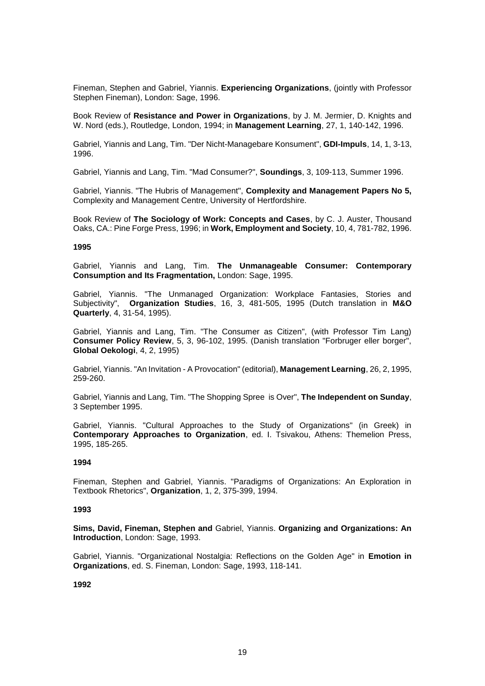Fineman, Stephen and Gabriel, Yiannis. **Experiencing Organizations**, (jointly with Professor Stephen Fineman), London: Sage, 1996.

Book Review of **Resistance and Power in Organizations**, by J. M. Jermier, D. Knights and W. Nord (eds.), Routledge, London, 1994; in **Management Learning**, 27, 1, 140-142, 1996.

Gabriel, Yiannis and Lang, Tim. "Der Nicht-Managebare Konsument", **GDI-Impuls**, 14, 1, 3-13, 1996.

Gabriel, Yiannis and Lang, Tim. "Mad Consumer?", **Soundings**, 3, 109-113, Summer 1996.

Gabriel, Yiannis. "The Hubris of Management", **Complexity and Management Papers No 5,** Complexity and Management Centre, University of Hertfordshire.

Book Review of **The Sociology of Work: Concepts and Cases**, by C. J. Auster, Thousand Oaks, CA.: Pine Forge Press, 1996; in **Work, Employment and Society**, 10, 4, 781-782, 1996.

### **1995**

Gabriel, Yiannis and Lang, Tim. **The Unmanageable Consumer: Contemporary Consumption and Its Fragmentation,** London: Sage, 1995.

Gabriel, Yiannis. "The Unmanaged Organization: Workplace Fantasies, Stories and Subjectivity", **Organization Studies**, 16, 3, 481-505, 1995 (Dutch translation in **M&O Quarterly**, 4, 31-54, 1995).

Gabriel, Yiannis and Lang, Tim. "The Consumer as Citizen", (with Professor Tim Lang) **Consumer Policy Review**, 5, 3, 96-102, 1995. (Danish translation "Forbruger eller borger", **Global Oekologi**, 4, 2, 1995)

Gabriel, Yiannis. "An Invitation - A Provocation" (editorial), **Management Learning**, 26, 2, 1995, 259-260.

Gabriel, Yiannis and Lang, Tim. "The Shopping Spree is Over", **The Independent on Sunday**, 3 September 1995.

Gabriel, Yiannis. "Cultural Approaches to the Study of Organizations" (in Greek) in **Contemporary Approaches to Organization**, ed. I. Tsivakou, Athens: Themelion Press, 1995, 185-265.

## **1994**

Fineman, Stephen and Gabriel, Yiannis. "Paradigms of Organizations: An Exploration in Textbook Rhetorics", **Organization**, 1, 2, 375-399, 1994.

#### **1993**

**Sims, David, Fineman, Stephen and** Gabriel, Yiannis. **Organizing and Organizations: An Introduction**, London: Sage, 1993.

Gabriel, Yiannis. "Organizational Nostalgia: Reflections on the Golden Age" in **Emotion in Organizations**, ed. S. Fineman, London: Sage, 1993, 118-141.

**1992**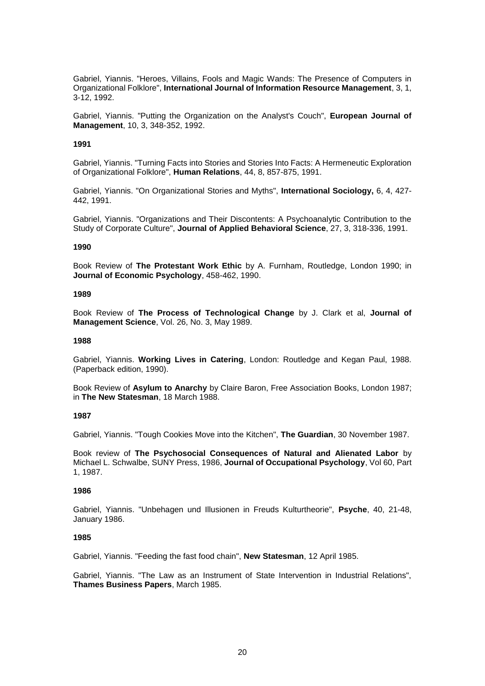Gabriel, Yiannis. "Heroes, Villains, Fools and Magic Wands: The Presence of Computers in Organizational Folklore", **International Journal of Information Resource Management**, 3, 1, 3-12, 1992.

Gabriel, Yiannis. "Putting the Organization on the Analyst's Couch", **European Journal of Management**, 10, 3, 348-352, 1992.

#### **1991**

Gabriel, Yiannis. "Turning Facts into Stories and Stories Into Facts: A Hermeneutic Exploration of Organizational Folklore", **Human Relations**, 44, 8, 857-875, 1991.

Gabriel, Yiannis. "On Organizational Stories and Myths", **International Sociology,** 6, 4, 427- 442, 1991.

Gabriel, Yiannis. "Organizations and Their Discontents: A Psychoanalytic Contribution to the Study of Corporate Culture", **Journal of Applied Behavioral Science**, 27, 3, 318-336, 1991.

#### **1990**

Book Review of **The Protestant Work Ethic** by A. Furnham, Routledge, London 1990; in **Journal of Economic Psychology**, 458-462, 1990.

#### **1989**

Book Review of **The Process of Technological Change** by J. Clark et al, **Journal of Management Science**, Vol. 26, No. 3, May 1989.

#### **1988**

Gabriel, Yiannis. **Working Lives in Catering**, London: Routledge and Kegan Paul, 1988. (Paperback edition, 1990).

Book Review of **Asylum to Anarchy** by Claire Baron, Free Association Books, London 1987; in **The New Statesman**, 18 March 1988.

#### **1987**

Gabriel, Yiannis. "Tough Cookies Move into the Kitchen", **The Guardian**, 30 November 1987.

Book review of **The Psychosocial Consequences of Natural and Alienated Labor** by Michael L. Schwalbe, SUNY Press, 1986, **Journal of Occupational Psychology**, Vol 60, Part 1, 1987.

## **1986**

Gabriel, Yiannis. "Unbehagen und Illusionen in Freuds Kulturtheorie", **Psyche**, 40, 21-48, January 1986.

#### **1985**

Gabriel, Yiannis. "Feeding the fast food chain", **New Statesman**, 12 April 1985.

Gabriel, Yiannis. "The Law as an Instrument of State Intervention in Industrial Relations", **Thames Business Papers**, March 1985.